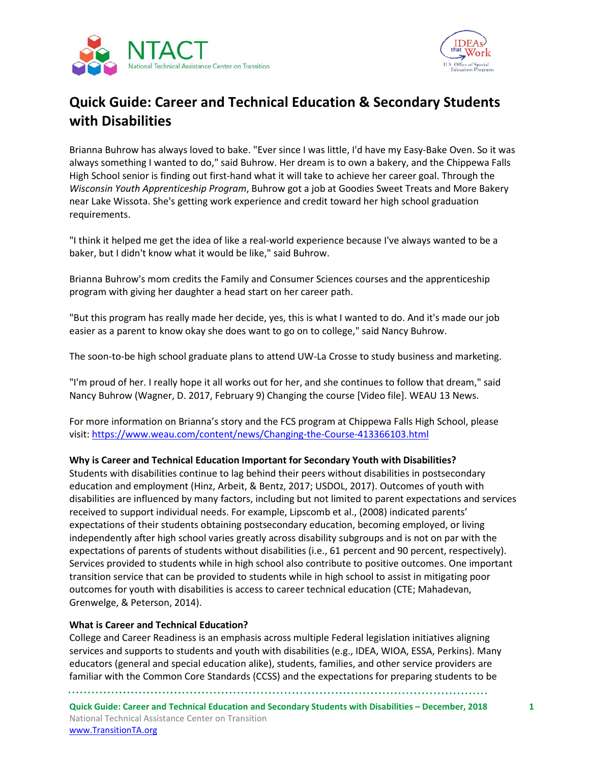



# **Quick Guide: Career and Technical Education & Secondary Students with Disabilities**

Brianna Buhrow has always loved to bake. "Ever since I was little, I'd have my Easy-Bake Oven. So it was always something I wanted to do," said Buhrow. Her dream is to own a bakery, and the Chippewa Falls High School senior is finding out first-hand what it will take to achieve her career goal. Through the *Wisconsin Youth Apprenticeship Program*, Buhrow got a job at Goodies Sweet Treats and More Bakery near Lake Wissota. She's getting work experience and credit toward her high school graduation requirements.

"I think it helped me get the idea of like a real-world experience because I've always wanted to be a baker, but I didn't know what it would be like," said Buhrow.

Brianna Buhrow's mom credits the Family and Consumer Sciences courses and the apprenticeship program with giving her daughter a head start on her career path.

"But this program has really made her decide, yes, this is what I wanted to do. And it's made our job easier as a parent to know okay she does want to go on to college," said Nancy Buhrow.

The soon-to-be high school graduate plans to attend UW-La Crosse to study business and marketing.

"I'm proud of her. I really hope it all works out for her, and she continues to follow that dream," said Nancy Buhrow (Wagner, D. 2017, February 9) Changing the course [Video file]. WEAU 13 News.

For more information on Brianna's story and the FCS program at Chippewa Falls High School, please visit: <https://www.weau.com/content/news/Changing-the-Course-413366103.html>

#### **Why is Career and Technical Education Important for Secondary Youth with Disabilities?**

Students with disabilities continue to lag behind their peers without disabilities in postsecondary education and employment (Hinz, Arbeit, & Bentz, 2017; USDOL, 2017). Outcomes of youth with disabilities are influenced by many factors, including but not limited to parent expectations and services received to support individual needs. For example, Lipscomb et al., (2008) indicated parents' expectations of their students obtaining postsecondary education, becoming employed, or living independently after high school varies greatly across disability subgroups and is not on par with the expectations of parents of students without disabilities (i.e., 61 percent and 90 percent, respectively). Services provided to students while in high school also contribute to positive outcomes. One important transition service that can be provided to students while in high school to assist in mitigating poor outcomes for youth with disabilities is access to career technical education (CTE; Mahadevan, Grenwelge, & Peterson, 2014).

#### **What is Career and Technical Education?**

College and Career Readiness is an emphasis across multiple Federal legislation initiatives aligning services and supports to students and youth with disabilities (e.g., IDEA, WIOA, ESSA, Perkins). Many educators (general and special education alike), students, families, and other service providers are familiar with the Common Core Standards (CCSS) and the expectations for preparing students to be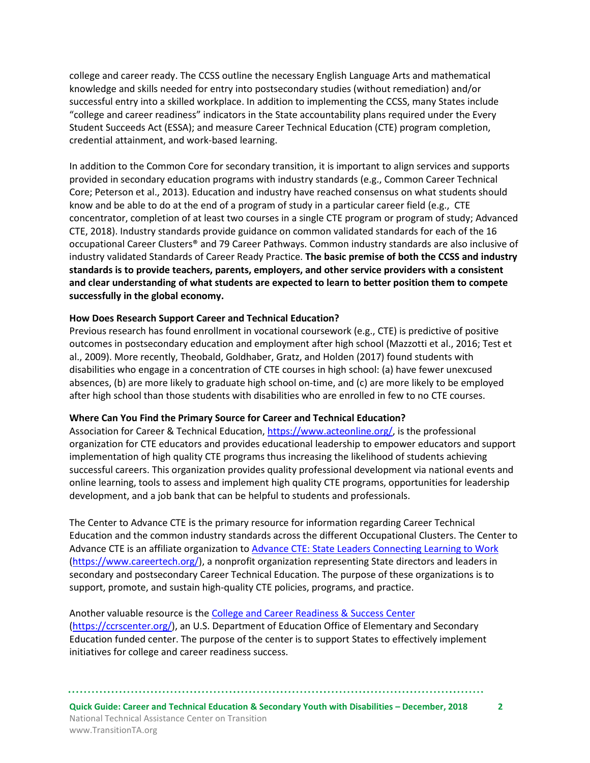college and career ready. The CCSS outline the necessary English Language Arts and mathematical knowledge and skills needed for entry into postsecondary studies (without remediation) and/or successful entry into a skilled workplace. In addition to implementing the CCSS, many States include "college and career readiness" indicators in the State accountability plans required under the Every Student Succeeds Act (ESSA); and measure Career Technical Education (CTE) program completion, credential attainment, and work-based learning.

In addition to the Common Core for secondary transition, it is important to align services and supports provided in secondary education programs with industry standards (e.g., Common Career Technical Core; Peterson et al., 2013). Education and industry have reached consensus on what students should know and be able to do at the end of a program of study in a particular career field (e.g., CTE concentrator, completion of at least two courses in a single CTE program or program of study; Advanced CTE, 2018). Industry standards provide guidance on common validated standards for each of the 16 occupational Career Clusters® and 79 Career Pathways. Common industry standards are also inclusive of industry validated Standards of Career Ready Practice. **The basic premise of both the CCSS and industry standards is to provide teachers, parents, employers, and other service providers with a consistent and clear understanding of what students are expected to learn to better position them to compete successfully in the global economy.**

#### **How Does Research Support Career and Technical Education?**

Previous research has found enrollment in vocational coursework (e.g., CTE) is predictive of positive outcomes in postsecondary education and employment after high school (Mazzotti et al., 2016; Test et al., 2009). More recently, Theobald, Goldhaber, Gratz, and Holden (2017) found students with disabilities who engage in a concentration of CTE courses in high school: (a) have fewer unexcused absences, (b) are more likely to graduate high school on-time, and (c) are more likely to be employed after high school than those students with disabilities who are enrolled in few to no CTE courses.

#### **Where Can You Find the Primary Source for Career and Technical Education?**

Association for Career & Technical Education[, https://www.acteonline.org/,](https://www.acteonline.org/) is the professional organization for CTE educators and provides educational leadership to empower educators and support implementation of high quality CTE programs thus increasing the likelihood of students achieving successful careers. This organization provides quality professional development via national events and online learning, tools to assess and implement high quality CTE programs, opportunities for leadership development, and a job bank that can be helpful to students and professionals.

The Center to Advance CTE is the primary resource for information regarding Career Technical Education and the common industry standards across the different Occupational Clusters. The Center to Advance CTE is an affiliate organization to [Advance CTE: State Leaders Connecting Learning to Work](https://www.careertech.org/) [\(https://www.careertech.org/\)](https://www.careertech.org/), a nonprofit organization representing State directors and leaders in secondary and postsecondary Career Technical Education. The purpose of these organizations is to support, promote, and sustain high-quality CTE policies, programs, and practice.

Another valuable resource is th[e College and Career Readiness & Success Center](https://ccrscenter.org/) [\(https://ccrscenter.org/\)](https://ccrscenter.org/), an U.S. Department of Education Office of Elementary and Secondary Education funded center. The purpose of the center is to support States to effectively implement initiatives for college and career readiness success.

**Quick Guide: Career and Technical Education & Secondary Youth with Disabilities – December, 2018 2** National Technical Assistance Center on Transition www.TransitionTA.org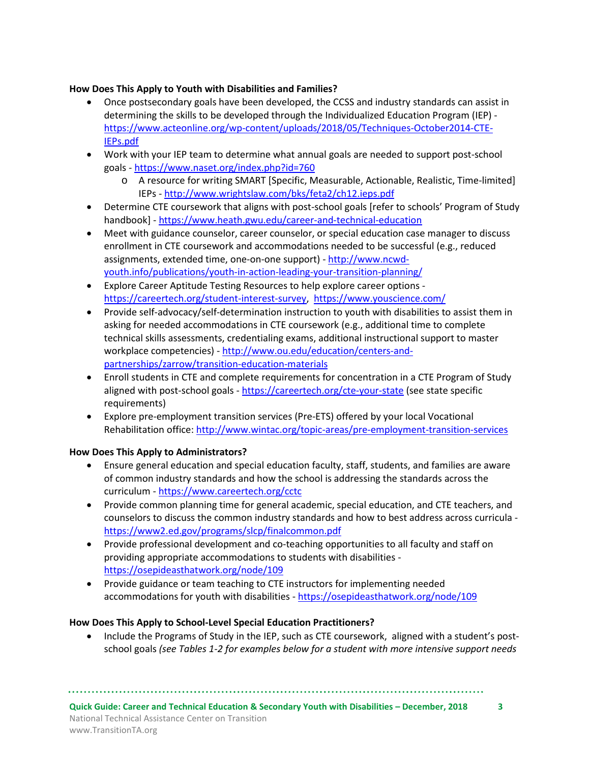#### **How Does This Apply to Youth with Disabilities and Families?**

- Once postsecondary goals have been developed, the CCSS and industry standards can assist in determining the skills to be developed through the Individualized Education Program (IEP) [https://www.acteonline.org/wp-content/uploads/2018/05/Techniques-October2014-CTE-](https://www.acteonline.org/wp-content/uploads/2018/05/Techniques-October2014-CTE-IEPs.pdf)[IEPs.pdf](https://www.acteonline.org/wp-content/uploads/2018/05/Techniques-October2014-CTE-IEPs.pdf)
- Work with your IEP team to determine what annual goals are needed to support post-school goals - <https://www.naset.org/index.php?id=760>
	- o A resource for writing SMART [Specific, Measurable, Actionable, Realistic, Time-limited] IEPs - <http://www.wrightslaw.com/bks/feta2/ch12.ieps.pdf>
- Determine CTE coursework that aligns with post-school goals [refer to schools' Program of Study handbook] - <https://www.heath.gwu.edu/career-and-technical-education>
- Meet with guidance counselor, career counselor, or special education case manager to discuss enrollment in CTE coursework and accommodations needed to be successful (e.g., reduced assignments, extended time, one-on-one support) - [http://www.ncwd](http://www.ncwd-youth.info/publications/youth-in-action-leading-your-transition-planning/)[youth.info/publications/youth-in-action-leading-your-transition-planning/](http://www.ncwd-youth.info/publications/youth-in-action-leading-your-transition-planning/)
- Explore Career Aptitude Testing Resources to help explore career options [https://careertech.org/student-interest-survey,](https://careertech.org/student-interest-survey)<https://www.youscience.com/>
- Provide self-advocacy/self-determination instruction to youth with disabilities to assist them in asking for needed accommodations in CTE coursework (e.g., additional time to complete technical skills assessments, credentialing exams, additional instructional support to master workplace competencies) - [http://www.ou.edu/education/centers-and](http://www.ou.edu/education/centers-and-partnerships/zarrow/transition-education-materials)[partnerships/zarrow/transition-education-materials](http://www.ou.edu/education/centers-and-partnerships/zarrow/transition-education-materials)
- Enroll students in CTE and complete requirements for concentration in a CTE Program of Study aligned with post-school goals - <https://careertech.org/cte-your-state> (see state specific requirements)
- Explore pre-employment transition services (Pre-ETS) offered by your local Vocational Rehabilitation office[: http://www.wintac.org/topic-areas/pre-employment-transition-services](http://www.wintac.org/topic-areas/pre-employment-transition-services)

## **How Does This Apply to Administrators?**

- Ensure general education and special education faculty, staff, students, and families are aware of common industry standards and how the school is addressing the standards across the curriculum - <https://www.careertech.org/cctc>
- Provide common planning time for general academic, special education, and CTE teachers, and counselors to discuss the common industry standards and how to best address across curricula <https://www2.ed.gov/programs/slcp/finalcommon.pdf>
- Provide professional development and co-teaching opportunities to all faculty and staff on providing appropriate accommodations to students with disabilities <https://osepideasthatwork.org/node/109>
- Provide guidance or team teaching to CTE instructors for implementing needed accommodations for youth with disabilities - <https://osepideasthatwork.org/node/109>

## **How Does This Apply to School-Level Special Education Practitioners?**

• Include the Programs of Study in the IEP, such as CTE coursework, aligned with a student's postschool goals *(see Tables 1-2 for examples below for a student with more intensive support needs* 

**Quick Guide: Career and Technical Education & Secondary Youth with Disabilities – December, 2018 3** National Technical Assistance Center on Transition www.TransitionTA.org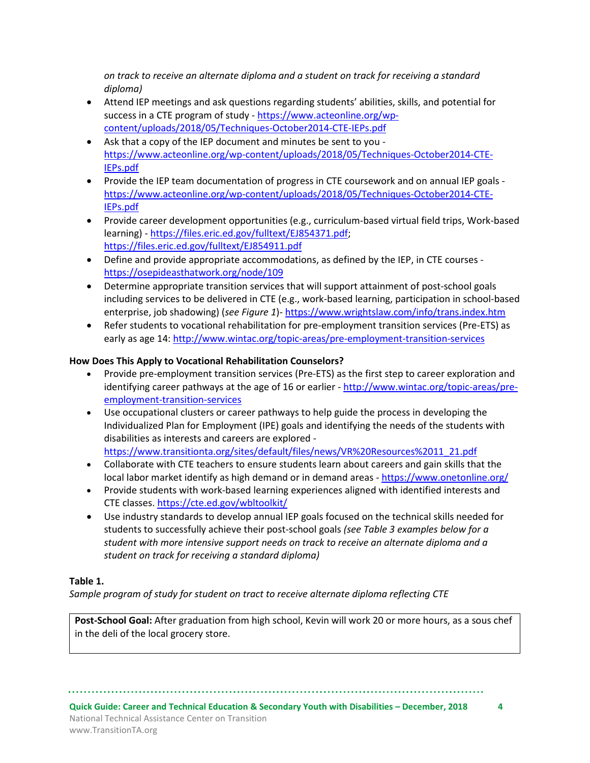*on track to receive an alternate diploma and a student on track for receiving a standard diploma)*

- Attend IEP meetings and ask questions regarding students' abilities, skills, and potential for success in a CTE program of study - [https://www.acteonline.org/wp](https://www.acteonline.org/wp-content/uploads/2018/05/Techniques-October2014-CTE-IEPs.pdf)[content/uploads/2018/05/Techniques-October2014-CTE-IEPs.pdf](https://www.acteonline.org/wp-content/uploads/2018/05/Techniques-October2014-CTE-IEPs.pdf)
- Ask that a copy of the IEP document and minutes be sent to you [https://www.acteonline.org/wp-content/uploads/2018/05/Techniques-October2014-CTE-](https://www.acteonline.org/wp-content/uploads/2018/05/Techniques-October2014-CTE-IEPs.pdf)[IEPs.pdf](https://www.acteonline.org/wp-content/uploads/2018/05/Techniques-October2014-CTE-IEPs.pdf)
- Provide the IEP team documentation of progress in CTE coursework and on annual IEP goals [https://www.acteonline.org/wp-content/uploads/2018/05/Techniques-October2014-CTE-](https://www.acteonline.org/wp-content/uploads/2018/05/Techniques-October2014-CTE-IEPs.pdf)[IEPs.pdf](https://www.acteonline.org/wp-content/uploads/2018/05/Techniques-October2014-CTE-IEPs.pdf)
- Provide career development opportunities (e.g., curriculum-based virtual field trips, Work-based learning) - [https://files.eric.ed.gov/fulltext/EJ854371.pdf;](https://files.eric.ed.gov/fulltext/EJ854371.pdf) <https://files.eric.ed.gov/fulltext/EJ854911.pdf>
- Define and provide appropriate accommodations, as defined by the IEP, in CTE courses <https://osepideasthatwork.org/node/109>
- Determine appropriate transition services that will support attainment of post-school goals including services to be delivered in CTE (e.g., work-based learning, participation in school-based enterprise, job shadowing) (*see Figure 1*)- <https://www.wrightslaw.com/info/trans.index.htm>
- Refer students to vocational rehabilitation for pre-employment transition services (Pre-ETS) as early as age 14[: http://www.wintac.org/topic-areas/pre-employment-transition-services](http://www.wintac.org/topic-areas/pre-employment-transition-services)

## **How Does This Apply to Vocational Rehabilitation Counselors?**

- Provide pre-employment transition services (Pre-ETS) as the first step to career exploration and identifying career pathways at the age of 16 or earlier - [http://www.wintac.org/topic-areas/pre](http://www.wintac.org/topic-areas/pre-employment-transition-services)[employment-transition-services](http://www.wintac.org/topic-areas/pre-employment-transition-services)
- Use occupational clusters or career pathways to help guide the process in developing the Individualized Plan for Employment (IPE) goals and identifying the needs of the students with disabilities as interests and careers are explored [https://www.transitionta.org/sites/default/files/news/VR%20Resources%2011\\_21.pdf](https://www.transitionta.org/sites/default/files/news/VR%20Resources%2011_21.pdf)
- Collaborate with CTE teachers to ensure students learn about careers and gain skills that the local labor market identify as high demand or in demand areas - <https://www.onetonline.org/>
- Provide students with work-based learning experiences aligned with identified interests and CTE classes. <https://cte.ed.gov/wbltoolkit/>
- Use industry standards to develop annual IEP goals focused on the technical skills needed for students to successfully achieve their post-school goals *(see Table 3 examples below for a student with more intensive support needs on track to receive an alternate diploma and a student on track for receiving a standard diploma)*

## **Table 1.**

*Sample program of study for student on tract to receive alternate diploma reflecting CTE*

**Post-School Goal:** After graduation from high school, Kevin will work 20 or more hours, as a sous chef in the deli of the local grocery store.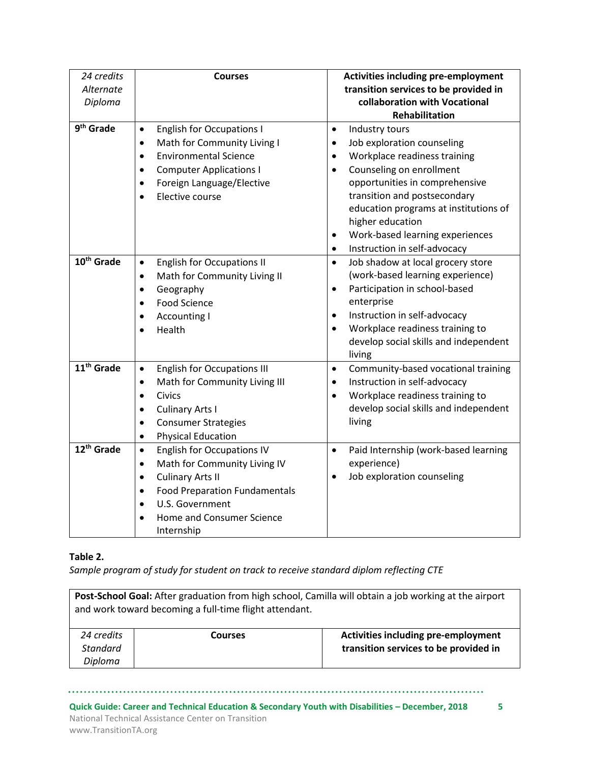| 24 credits             | <b>Activities including pre-employment</b><br><b>Courses</b> |                                                           |  |
|------------------------|--------------------------------------------------------------|-----------------------------------------------------------|--|
| Alternate              |                                                              | transition services to be provided in                     |  |
| Diploma                |                                                              | collaboration with Vocational                             |  |
|                        |                                                              | <b>Rehabilitation</b>                                     |  |
| 9 <sup>th</sup> Grade  | <b>English for Occupations I</b><br>$\bullet$                | Industry tours<br>$\bullet$                               |  |
|                        | Math for Community Living I<br>$\bullet$                     | Job exploration counseling<br>$\bullet$                   |  |
|                        | <b>Environmental Science</b><br>$\bullet$                    | Workplace readiness training<br>$\bullet$                 |  |
|                        | <b>Computer Applications I</b><br>$\bullet$                  | Counseling on enrollment<br>$\bullet$                     |  |
|                        | Foreign Language/Elective<br>$\bullet$                       | opportunities in comprehensive                            |  |
|                        | Elective course<br>$\bullet$                                 | transition and postsecondary                              |  |
|                        |                                                              | education programs at institutions of<br>higher education |  |
|                        |                                                              | Work-based learning experiences<br>$\bullet$              |  |
|                        |                                                              | Instruction in self-advocacy<br>$\bullet$                 |  |
| 10 <sup>th</sup> Grade | <b>English for Occupations II</b><br>$\bullet$               | Job shadow at local grocery store<br>$\bullet$            |  |
|                        | Math for Community Living II<br>$\bullet$                    | (work-based learning experience)                          |  |
|                        | Geography<br>$\bullet$                                       | Participation in school-based<br>$\bullet$                |  |
|                        | <b>Food Science</b><br>$\bullet$                             | enterprise                                                |  |
|                        | Accounting I                                                 | Instruction in self-advocacy<br>$\bullet$                 |  |
|                        | Health                                                       | Workplace readiness training to<br>$\bullet$              |  |
|                        |                                                              | develop social skills and independent                     |  |
|                        |                                                              | living                                                    |  |
| 11 <sup>th</sup> Grade | <b>English for Occupations III</b><br>$\bullet$              | Community-based vocational training<br>$\bullet$          |  |
|                        | Math for Community Living III<br>$\bullet$                   | Instruction in self-advocacy<br>$\bullet$                 |  |
|                        | <b>Civics</b><br>$\bullet$                                   | Workplace readiness training to<br>$\bullet$              |  |
|                        | <b>Culinary Arts I</b><br>$\bullet$                          | develop social skills and independent                     |  |
|                        | <b>Consumer Strategies</b><br>$\bullet$                      | living                                                    |  |
|                        | <b>Physical Education</b><br>$\bullet$                       |                                                           |  |
| 12 <sup>th</sup> Grade | <b>English for Occupations IV</b><br>$\bullet$               | Paid Internship (work-based learning<br>$\bullet$         |  |
|                        | Math for Community Living IV<br>$\bullet$                    | experience)                                               |  |
|                        | <b>Culinary Arts II</b><br>$\bullet$                         | Job exploration counseling<br>$\bullet$                   |  |
|                        | <b>Food Preparation Fundamentals</b><br>$\bullet$            |                                                           |  |
|                        | U.S. Government                                              |                                                           |  |
|                        | Home and Consumer Science                                    |                                                           |  |
|                        | Internship                                                   |                                                           |  |

## **Table 2.**

*Sample program of study for student on track to receive standard diplom reflecting CTE*

| Post-School Goal: After graduation from high school, Camilla will obtain a job working at the airport<br>and work toward becoming a full-time flight attendant. |                |                                            |  |  |
|-----------------------------------------------------------------------------------------------------------------------------------------------------------------|----------------|--------------------------------------------|--|--|
| 24 credits                                                                                                                                                      | <b>Courses</b> | <b>Activities including pre-employment</b> |  |  |
| <b>Standard</b>                                                                                                                                                 |                | transition services to be provided in      |  |  |
| Diploma                                                                                                                                                         |                |                                            |  |  |

**Quick Guide: Career and Technical Education & Secondary Youth with Disabilities – December, 2018 5** National Technical Assistance Center on Transition www.TransitionTA.org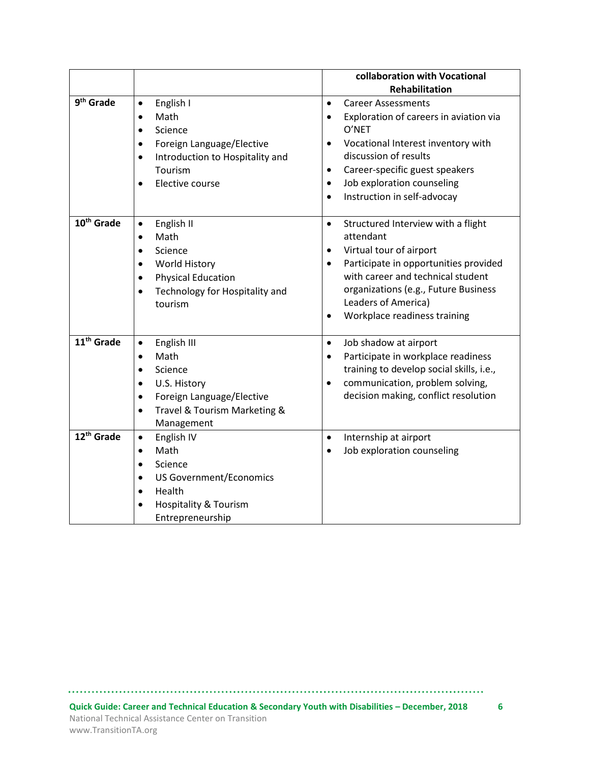|                        |                                              | collaboration with Vocational                       |
|------------------------|----------------------------------------------|-----------------------------------------------------|
|                        |                                              | <b>Rehabilitation</b>                               |
| 9 <sup>th</sup> Grade  | English I<br>$\bullet$                       | <b>Career Assessments</b><br>$\bullet$              |
|                        | Math<br>$\bullet$                            | Exploration of careers in aviation via<br>$\bullet$ |
|                        | Science<br>$\bullet$                         | O'NET                                               |
|                        | Foreign Language/Elective<br>$\bullet$       | Vocational Interest inventory with<br>$\bullet$     |
|                        | Introduction to Hospitality and<br>$\bullet$ | discussion of results                               |
|                        | Tourism                                      | Career-specific guest speakers<br>$\bullet$         |
|                        | Elective course<br>$\bullet$                 | Job exploration counseling<br>$\bullet$             |
|                        |                                              | Instruction in self-advocay<br>$\bullet$            |
| 10 <sup>th</sup> Grade | English II<br>$\bullet$                      | $\bullet$<br>Structured Interview with a flight     |
|                        | Math<br>$\bullet$                            | attendant                                           |
|                        | Science                                      | Virtual tour of airport<br>٠                        |
|                        | World History<br>$\bullet$                   | Participate in opportunities provided<br>$\bullet$  |
|                        | <b>Physical Education</b><br>$\bullet$       | with career and technical student                   |
|                        | Technology for Hospitality and<br>$\bullet$  | organizations (e.g., Future Business                |
|                        | tourism                                      | Leaders of America)                                 |
|                        |                                              | Workplace readiness training<br>$\bullet$           |
| 11 <sup>th</sup> Grade | English III<br>$\bullet$                     | Job shadow at airport<br>$\bullet$                  |
|                        | Math<br>$\bullet$                            | Participate in workplace readiness<br>$\bullet$     |
|                        | Science                                      | training to develop social skills, i.e.,            |
|                        | U.S. History<br>$\bullet$                    | communication, problem solving,<br>$\bullet$        |
|                        | Foreign Language/Elective<br>$\bullet$       | decision making, conflict resolution                |
|                        | Travel & Tourism Marketing &<br>$\bullet$    |                                                     |
|                        | Management                                   |                                                     |
| 12 <sup>th</sup> Grade | English IV<br>$\bullet$                      | Internship at airport<br>$\bullet$                  |
|                        | Math<br>$\bullet$                            | Job exploration counseling<br>$\bullet$             |
|                        | Science                                      |                                                     |
|                        | <b>US Government/Economics</b><br>$\bullet$  |                                                     |
|                        | Health<br>$\bullet$                          |                                                     |
|                        | Hospitality & Tourism                        |                                                     |
|                        | Entrepreneurship                             |                                                     |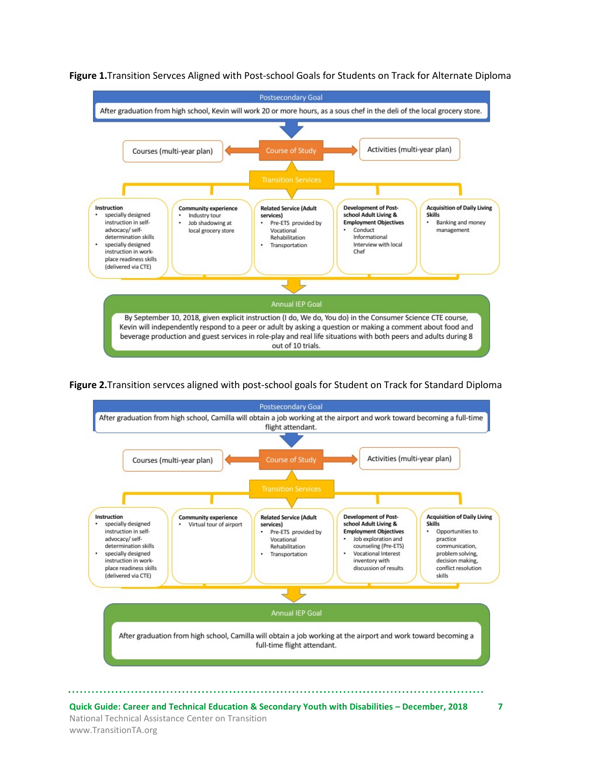

**Figure 1.**Transition Servces Aligned with Post-school Goals for Students on Track for Alternate Diploma

**Figure 2.**Transition servces aligned with post-school goals for Student on Track for Standard Diploma



**Quick Guide: Career and Technical Education & Secondary Youth with Disabilities – December, 2018 7** National Technical Assistance Center on Transition www.TransitionTA.org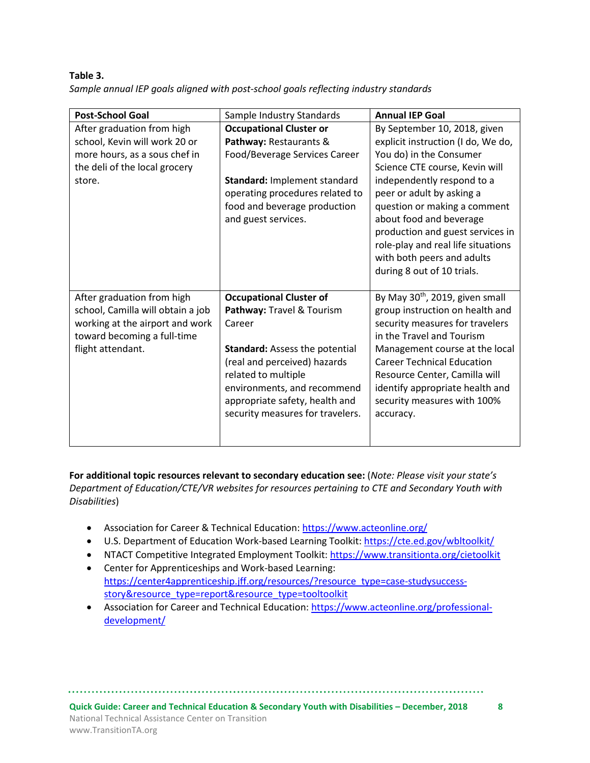**Table 3.**  *Sample annual IEP goals aligned with post-school goals reflecting industry standards*

| <b>Post-School Goal</b>                                                                                                                                | Sample Industry Standards                                                                                                                                                                                                                                                  | <b>Annual IEP Goal</b>                                                                                                                                                                                                                                                                                                                                                                      |
|--------------------------------------------------------------------------------------------------------------------------------------------------------|----------------------------------------------------------------------------------------------------------------------------------------------------------------------------------------------------------------------------------------------------------------------------|---------------------------------------------------------------------------------------------------------------------------------------------------------------------------------------------------------------------------------------------------------------------------------------------------------------------------------------------------------------------------------------------|
| After graduation from high<br>school, Kevin will work 20 or<br>more hours, as a sous chef in<br>the deli of the local grocery<br>store.                | <b>Occupational Cluster or</b><br>Pathway: Restaurants &<br>Food/Beverage Services Career<br>Standard: Implement standard<br>operating procedures related to<br>food and beverage production<br>and guest services.                                                        | By September 10, 2018, given<br>explicit instruction (I do, We do,<br>You do) in the Consumer<br>Science CTE course, Kevin will<br>independently respond to a<br>peer or adult by asking a<br>question or making a comment<br>about food and beverage<br>production and guest services in<br>role-play and real life situations<br>with both peers and adults<br>during 8 out of 10 trials. |
| After graduation from high<br>school, Camilla will obtain a job<br>working at the airport and work<br>toward becoming a full-time<br>flight attendant. | <b>Occupational Cluster of</b><br>Pathway: Travel & Tourism<br>Career<br><b>Standard: Assess the potential</b><br>(real and perceived) hazards<br>related to multiple<br>environments, and recommend<br>appropriate safety, health and<br>security measures for travelers. | By May 30 <sup>th</sup> , 2019, given small<br>group instruction on health and<br>security measures for travelers<br>in the Travel and Tourism<br>Management course at the local<br><b>Career Technical Education</b><br>Resource Center, Camilla will<br>identify appropriate health and<br>security measures with 100%<br>accuracy.                                                       |

**For additional topic resources relevant to secondary education see:** (*Note: Please visit your state's Department of Education/CTE/VR websites for resources pertaining to CTE and Secondary Youth with Disabilities*)

- Association for Career & Technical Education:<https://www.acteonline.org/>
- U.S. Department of Education Work-based Learning Toolkit:<https://cte.ed.gov/wbltoolkit/>
- NTACT Competitive Integrated Employment Toolkit[: https://www.transitionta.org/cietoolkit](https://www.transitionta.org/cietoolkit)
- Center for Apprenticeships and Work-based Learning: [https://center4apprenticeship.jff.org/resources/?resource\\_type=case-studysuccess](https://center4apprenticeship.jff.org/resources/?resource_type=case-studysuccess-story&resource_type=report&resource_type=tooltoolkit)[story&resource\\_type=report&resource\\_type=tooltoolkit](https://center4apprenticeship.jff.org/resources/?resource_type=case-studysuccess-story&resource_type=report&resource_type=tooltoolkit)
- Association for Career and Technical Education: [https://www.acteonline.org/professional](https://www.acteonline.org/professional-development/)[development/](https://www.acteonline.org/professional-development/)